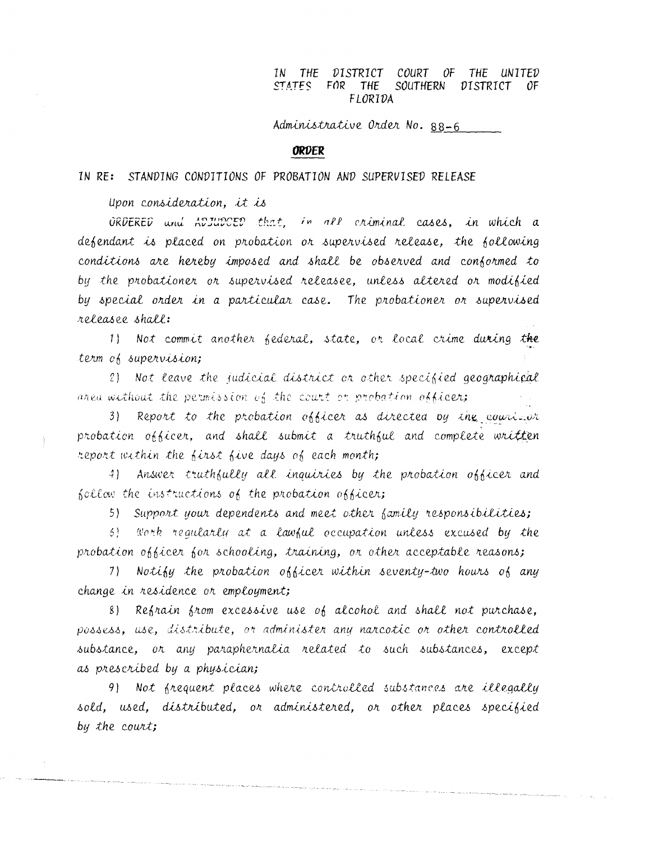COURT OF THE UNITED IN THE DISTRICT FOR THE STATES SOUTHERN DISTRICT 0F. FLORIDA

Administrative Order No. 88-6

## **ORDER**

## IN RE: STANDING CONDITIONS OF PROBATION AND SUPERVISED RELEASE

upon consideration, it is

ORDERED und ADJUDCED that, in all criminal cases, in which a defendant is placed on probation or supervised release, the following conditions are hereby imposed and shall be observed and conformed to by the probationer or supervised releasee, unless altered or modified by special order in a particular case. The probationer or supervised releasee shall:

1) Not commit another federal, state, or local crime during the term of supervision;

2) Not leave the judicial district or other specified geographical area without the permission of the court or probation officer;

3) Report to the probation officer as directed by the couri-or probation officer, and shall submit a truthful and complete written report within the first five days of each month;

4) Answer truthfully all inquiries by the probation officer and follow the instructions of the probation officer;

5) Support your dependents and meet other family responsibilities;

6) Work regularly at a lawful occupation unless excused by the probation officer for schooling, training, or other acceptable reasons;

7) Notify the probation officer within seventy-two hours of any change in residence or employment;

8) Refrain from excessive use of alcohol and shall not purchase, possess, use, distribute, or administer any narcotic or other controlled substance, or any paraphernalia related to such substances, except as prescribed by a physician;

9) Not frequent places where controlled substances are illegally sold, used, distributed, or administered, or other places specified by the court;